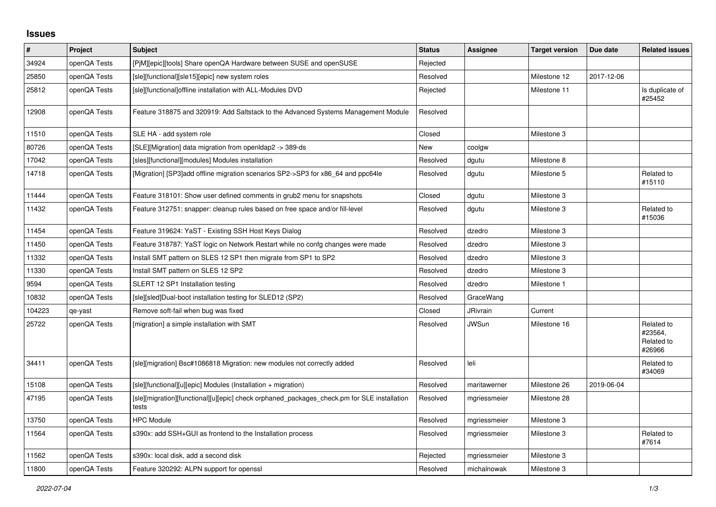## **Issues**

| $\vert$ # | Project      | <b>Subject</b>                                                                                       | <b>Status</b> | Assignee        | <b>Target version</b> | Due date   | <b>Related issues</b>                         |
|-----------|--------------|------------------------------------------------------------------------------------------------------|---------------|-----------------|-----------------------|------------|-----------------------------------------------|
| 34924     | openQA Tests | [P]M][epic][tools] Share openQA Hardware between SUSE and openSUSE                                   | Rejected      |                 |                       |            |                                               |
| 25850     | openQA Tests | [sle][functional][sle15][epic] new system roles                                                      | Resolved      |                 | Milestone 12          | 2017-12-06 |                                               |
| 25812     | openQA Tests | [sle][functional]offline installation with ALL-Modules DVD                                           | Rejected      |                 | Milestone 11          |            | Is duplicate of<br>#25452                     |
| 12908     | openQA Tests | Feature 318875 and 320919: Add Saltstack to the Advanced Systems Management Module                   | Resolved      |                 |                       |            |                                               |
| 11510     | openQA Tests | SLE HA - add system role                                                                             | Closed        |                 | Milestone 3           |            |                                               |
| 80726     | openQA Tests | [SLE][Migration] data migration from openIdap2 -> 389-ds                                             | New           | coolgw          |                       |            |                                               |
| 17042     | openQA Tests | [sles][functional][modules] Modules installation                                                     | Resolved      | dgutu           | Milestone 8           |            |                                               |
| 14718     | openQA Tests | [Migration] [SP3] add offline migration scenarios SP2->SP3 for x86 64 and ppc64le                    | Resolved      | dgutu           | Milestone 5           |            | Related to<br>#15110                          |
| 11444     | openQA Tests | Feature 318101: Show user defined comments in grub2 menu for snapshots                               | Closed        | dgutu           | Milestone 3           |            |                                               |
| 11432     | openQA Tests | Feature 312751: snapper: cleanup rules based on free space and/or fill-level                         | Resolved      | dgutu           | Milestone 3           |            | Related to<br>#15036                          |
| 11454     | openQA Tests | Feature 319624: YaST - Existing SSH Host Keys Dialog                                                 | Resolved      | dzedro          | Milestone 3           |            |                                               |
| 11450     | openQA Tests | Feature 318787: YaST logic on Network Restart while no confg changes were made                       | Resolved      | dzedro          | Milestone 3           |            |                                               |
| 11332     | openQA Tests | Install SMT pattern on SLES 12 SP1 then migrate from SP1 to SP2                                      | Resolved      | dzedro          | Milestone 3           |            |                                               |
| 11330     | openQA Tests | Install SMT pattern on SLES 12 SP2                                                                   | Resolved      | dzedro          | Milestone 3           |            |                                               |
| 9594      | openQA Tests | SLERT 12 SP1 Installation testing                                                                    | Resolved      | dzedro          | Milestone 1           |            |                                               |
| 10832     | openQA Tests | [sle][sled]Dual-boot installation testing for SLED12 (SP2)                                           | Resolved      | GraceWang       |                       |            |                                               |
| 104223    | qe-yast      | Remove soft-fail when bug was fixed                                                                  | Closed        | <b>JRivrain</b> | Current               |            |                                               |
| 25722     | openQA Tests | [migration] a simple installation with SMT                                                           | Resolved      | <b>JWSun</b>    | Milestone 16          |            | Related to<br>#23564.<br>Related to<br>#26966 |
| 34411     | openQA Tests | [sle][migration] Bsc#1086818 Migration: new modules not correctly added                              | Resolved      | leli            |                       |            | Related to<br>#34069                          |
| 15108     | openQA Tests | [sle][functional][u][epic] Modules (Installation + migration)                                        | Resolved      | maritawerner    | Milestone 26          | 2019-06-04 |                                               |
| 47195     | openQA Tests | [sle][migration][functional][u][epic] check orphaned packages check.pm for SLE installation<br>tests | Resolved      | mgriessmeier    | Milestone 28          |            |                                               |
| 13750     | openQA Tests | <b>HPC Module</b>                                                                                    | Resolved      | mgriessmeier    | Milestone 3           |            |                                               |
| 11564     | openQA Tests | s390x: add SSH+GUI as frontend to the Installation process                                           | Resolved      | mgriessmeier    | Milestone 3           |            | Related to<br>#7614                           |
| 11562     | openQA Tests | s390x: local disk, add a second disk                                                                 | Rejected      | mgriessmeier    | Milestone 3           |            |                                               |
| 11800     | openQA Tests | Feature 320292: ALPN support for openssl                                                             | Resolved      | michalnowak     | Milestone 3           |            |                                               |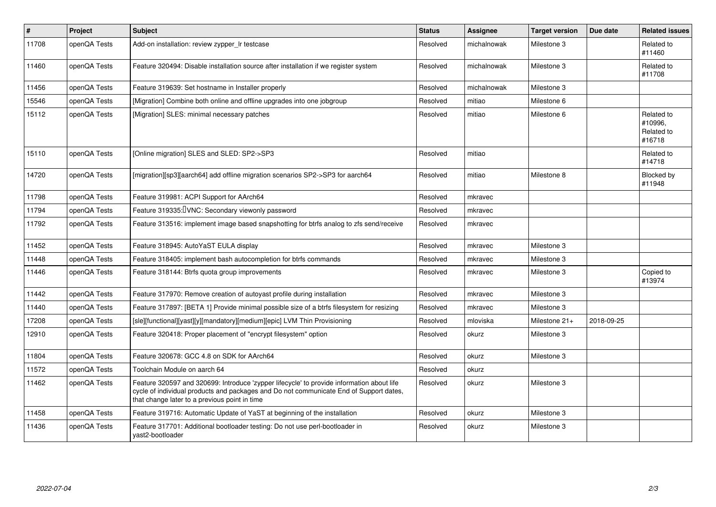| $\vert$ # | Project      | <b>Subject</b>                                                                                                                                                                                                                       | <b>Status</b> | <b>Assignee</b> | <b>Target version</b> | Due date   | <b>Related issues</b>                         |
|-----------|--------------|--------------------------------------------------------------------------------------------------------------------------------------------------------------------------------------------------------------------------------------|---------------|-----------------|-----------------------|------------|-----------------------------------------------|
| 11708     | openQA Tests | Add-on installation: review zypper Ir testcase                                                                                                                                                                                       | Resolved      | michalnowak     | Milestone 3           |            | Related to<br>#11460                          |
| 11460     | openQA Tests | Feature 320494: Disable installation source after installation if we register system                                                                                                                                                 | Resolved      | michalnowak     | Milestone 3           |            | Related to<br>#11708                          |
| 11456     | openQA Tests | Feature 319639: Set hostname in Installer properly                                                                                                                                                                                   | Resolved      | michalnowak     | Milestone 3           |            |                                               |
| 15546     | openQA Tests | [Migration] Combine both online and offline upgrades into one jobgroup                                                                                                                                                               | Resolved      | mitiao          | Milestone 6           |            |                                               |
| 15112     | openQA Tests | [Migration] SLES: minimal necessary patches                                                                                                                                                                                          | Resolved      | mitiao          | Milestone 6           |            | Related to<br>#10996.<br>Related to<br>#16718 |
| 15110     | openQA Tests | [Online migration] SLES and SLED: SP2->SP3                                                                                                                                                                                           | Resolved      | mitiao          |                       |            | Related to<br>#14718                          |
| 14720     | openQA Tests | [migration][sp3][aarch64] add offline migration scenarios SP2->SP3 for aarch64                                                                                                                                                       | Resolved      | mitiao          | Milestone 8           |            | Blocked by<br>#11948                          |
| 11798     | openQA Tests | Feature 319981: ACPI Support for AArch64                                                                                                                                                                                             | Resolved      | mkravec         |                       |            |                                               |
| 11794     | openQA Tests | Feature 319335: VNC: Secondary viewonly password                                                                                                                                                                                     | Resolved      | mkravec         |                       |            |                                               |
| 11792     | openQA Tests | Feature 313516: implement image based snapshotting for btrfs analog to zfs send/receive                                                                                                                                              | Resolved      | mkravec         |                       |            |                                               |
| 11452     | openQA Tests | Feature 318945: AutoYaST EULA display                                                                                                                                                                                                | Resolved      | mkravec         | Milestone 3           |            |                                               |
| 11448     | openQA Tests | Feature 318405: implement bash autocompletion for btrfs commands                                                                                                                                                                     | Resolved      | mkravec         | Milestone 3           |            |                                               |
| 11446     | openQA Tests | Feature 318144: Btrfs quota group improvements                                                                                                                                                                                       | Resolved      | mkravec         | Milestone 3           |            | Copied to<br>#13974                           |
| 11442     | openQA Tests | Feature 317970: Remove creation of autoyast profile during installation                                                                                                                                                              | Resolved      | mkravec         | Milestone 3           |            |                                               |
| 11440     | openQA Tests | Feature 317897: [BETA 1] Provide minimal possible size of a btrfs filesystem for resizing                                                                                                                                            | Resolved      | mkravec         | Milestone 3           |            |                                               |
| 17208     | openQA Tests | [sle][functional][yast][y][mandatory][medium][epic] LVM Thin Provisioning                                                                                                                                                            | Resolved      | mloviska        | Milestone 21+         | 2018-09-25 |                                               |
| 12910     | openQA Tests | Feature 320418: Proper placement of "encrypt filesystem" option                                                                                                                                                                      | Resolved      | okurz           | Milestone 3           |            |                                               |
| 11804     | openQA Tests | Feature 320678: GCC 4.8 on SDK for AArch64                                                                                                                                                                                           | Resolved      | okurz           | Milestone 3           |            |                                               |
| 11572     | openQA Tests | Toolchain Module on aarch 64                                                                                                                                                                                                         | Resolved      | okurz           |                       |            |                                               |
| 11462     | openQA Tests | Feature 320597 and 320699: Introduce 'zypper lifecycle' to provide information about life<br>cycle of individual products and packages and Do not communicate End of Support dates,<br>that change later to a previous point in time | Resolved      | okurz           | Milestone 3           |            |                                               |
| 11458     | openQA Tests | Feature 319716: Automatic Update of YaST at beginning of the installation                                                                                                                                                            | Resolved      | okurz           | Milestone 3           |            |                                               |
| 11436     | openQA Tests | Feature 317701: Additional bootloader testing: Do not use perl-bootloader in<br>vast2-bootloader                                                                                                                                     | Resolved      | okurz           | Milestone 3           |            |                                               |